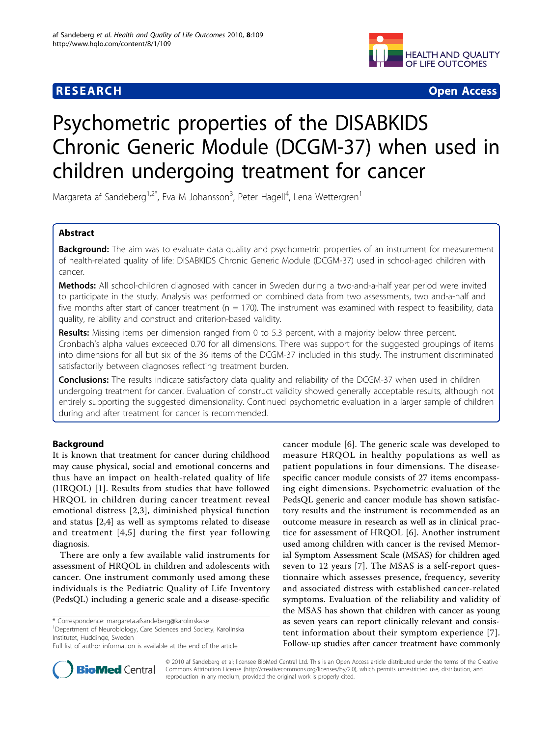

**RESEARCH CONTROL** CONTROL CONTROL CONTROL CONTROL CONTROL CONTROL CONTROL CONTROL CONTROL CONTROL CONTROL CONTROL CONTROL CONTROL CONTROL CONTROL CONTROL CONTROL CONTROL CONTROL CONTROL CONTROL CONTROL CONTROL CONTROL CON

# Psychometric properties of the DISABKIDS Chronic Generic Module (DCGM-37) when used in children undergoing treatment for cancer

Margareta af Sandeberg<sup>1,2\*</sup>, Eva M Johansson<sup>3</sup>, Peter Hagell<sup>4</sup>, Lena Wettergren<sup>1</sup>

# Abstract

Background: The aim was to evaluate data quality and psychometric properties of an instrument for measurement of health-related quality of life: DISABKIDS Chronic Generic Module (DCGM-37) used in school-aged children with cancer.

Methods: All school-children diagnosed with cancer in Sweden during a two-and-a-half year period were invited to participate in the study. Analysis was performed on combined data from two assessments, two and-a-half and five months after start of cancer treatment ( $n = 170$ ). The instrument was examined with respect to feasibility, data quality, reliability and construct and criterion-based validity.

Results: Missing items per dimension ranged from 0 to 5.3 percent, with a majority below three percent. Cronbach's alpha values exceeded 0.70 for all dimensions. There was support for the suggested groupings of items into dimensions for all but six of the 36 items of the DCGM-37 included in this study. The instrument discriminated satisfactorily between diagnoses reflecting treatment burden.

Conclusions: The results indicate satisfactory data quality and reliability of the DCGM-37 when used in children undergoing treatment for cancer. Evaluation of construct validity showed generally acceptable results, although not entirely supporting the suggested dimensionality. Continued psychometric evaluation in a larger sample of children during and after treatment for cancer is recommended.

# Background

It is known that treatment for cancer during childhood may cause physical, social and emotional concerns and thus have an impact on health-related quality of life (HRQOL) [[1\]](#page-6-0). Results from studies that have followed HRQOL in children during cancer treatment reveal emotional distress [[2,3\]](#page-6-0), diminished physical function and status [[2,4](#page-6-0)] as well as symptoms related to disease and treatment [[4,5\]](#page-6-0) during the first year following diagnosis.

There are only a few available valid instruments for assessment of HRQOL in children and adolescents with cancer. One instrument commonly used among these individuals is the Pediatric Quality of Life Inventory (PedsQL) including a generic scale and a disease-specific

<sup>1</sup>Department of Neurobiology, Care Sciences and Society, Karolinska Institutet, Huddinge, Sweden

cancer module [[6](#page-6-0)]. The generic scale was developed to measure HRQOL in healthy populations as well as patient populations in four dimensions. The diseasespecific cancer module consists of 27 items encompassing eight dimensions. Psychometric evaluation of the PedsQL generic and cancer module has shown satisfactory results and the instrument is recommended as an outcome measure in research as well as in clinical practice for assessment of HRQOL [[6\]](#page-6-0). Another instrument used among children with cancer is the revised Memorial Symptom Assessment Scale (MSAS) for children aged seven to 12 years [\[7](#page-6-0)]. The MSAS is a self-report questionnaire which assesses presence, frequency, severity and associated distress with established cancer-related symptoms. Evaluation of the reliability and validity of the MSAS has shown that children with cancer as young as seven years can report clinically relevant and consistent information about their symptom experience [[7](#page-6-0)]. Follow-up studies after cancer treatment have commonly



© 2010 af Sandeberg et al; licensee BioMed Central Ltd. This is an Open Access article distributed under the terms of the Creative Commons Attribution License [\(http://creativecommons.org/licenses/by/2.0](http://creativecommons.org/licenses/by/2.0)), which permits unrestricted use, distribution, and reproduction in any medium, provided the original work is properly cited.

<sup>\*</sup> Correspondence: [margareta.afsandeberg@karolinska.se](mailto:margareta.afsandeberg@karolinska.se)

Full list of author information is available at the end of the article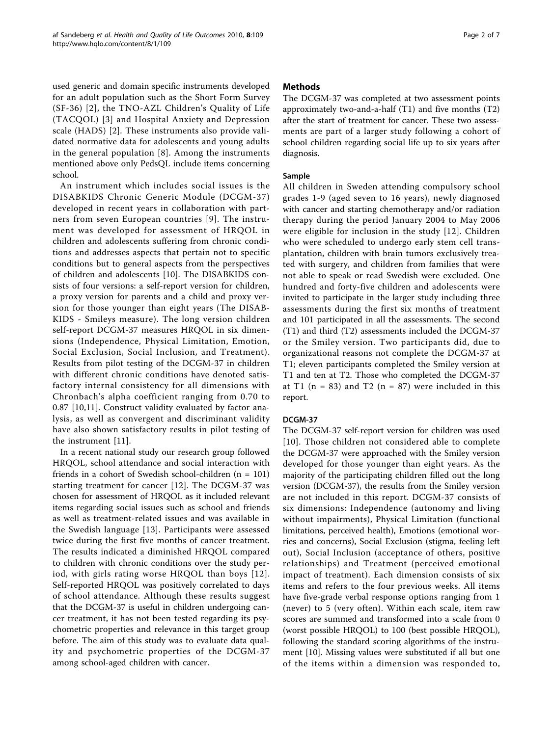used generic and domain specific instruments developed for an adult population such as the Short Form Survey (SF-36) [[2](#page-6-0)], the TNO-AZL Children's Quality of Life (TACQOL) [\[3\]](#page-6-0) and Hospital Anxiety and Depression scale (HADS) [[2](#page-6-0)]. These instruments also provide validated normative data for adolescents and young adults in the general population [[8](#page-6-0)]. Among the instruments mentioned above only PedsQL include items concerning school.

An instrument which includes social issues is the DISABKIDS Chronic Generic Module (DCGM-37) developed in recent years in collaboration with partners from seven European countries [[9](#page-6-0)]. The instrument was developed for assessment of HRQOL in children and adolescents suffering from chronic conditions and addresses aspects that pertain not to specific conditions but to general aspects from the perspectives of children and adolescents [[10\]](#page-6-0). The DISABKIDS consists of four versions: a self-report version for children, a proxy version for parents and a child and proxy version for those younger than eight years (The DISAB-KIDS - Smileys measure). The long version children self-report DCGM-37 measures HRQOL in six dimensions (Independence, Physical Limitation, Emotion, Social Exclusion, Social Inclusion, and Treatment). Results from pilot testing of the DCGM-37 in children with different chronic conditions have denoted satisfactory internal consistency for all dimensions with Chronbach's alpha coefficient ranging from 0.70 to 0.87 [[10](#page-6-0),[11\]](#page-6-0). Construct validity evaluated by factor analysis, as well as convergent and discriminant validity have also shown satisfactory results in pilot testing of the instrument [[11\]](#page-6-0).

In a recent national study our research group followed HRQOL, school attendance and social interaction with friends in a cohort of Swedish school-children (n = 101) starting treatment for cancer [[12\]](#page-6-0). The DCGM-37 was chosen for assessment of HRQOL as it included relevant items regarding social issues such as school and friends as well as treatment-related issues and was available in the Swedish language [[13](#page-6-0)]. Participants were assessed twice during the first five months of cancer treatment. The results indicated a diminished HRQOL compared to children with chronic conditions over the study period, with girls rating worse HRQOL than boys [[12\]](#page-6-0). Self-reported HRQOL was positively correlated to days of school attendance. Although these results suggest that the DCGM-37 is useful in children undergoing cancer treatment, it has not been tested regarding its psychometric properties and relevance in this target group before. The aim of this study was to evaluate data quality and psychometric properties of the DCGM-37 among school-aged children with cancer.

# Methods

The DCGM-37 was completed at two assessment points approximately two-and-a-half (T1) and five months (T2) after the start of treatment for cancer. These two assessments are part of a larger study following a cohort of school children regarding social life up to six years after diagnosis.

# Sample

All children in Sweden attending compulsory school grades 1-9 (aged seven to 16 years), newly diagnosed with cancer and starting chemotherapy and/or radiation therapy during the period January 2004 to May 2006 were eligible for inclusion in the study [\[12\]](#page-6-0). Children who were scheduled to undergo early stem cell transplantation, children with brain tumors exclusively treated with surgery, and children from families that were not able to speak or read Swedish were excluded. One hundred and forty-five children and adolescents were invited to participate in the larger study including three assessments during the first six months of treatment and 101 participated in all the assessments. The second (T1) and third (T2) assessments included the DCGM-37 or the Smiley version. Two participants did, due to organizational reasons not complete the DCGM-37 at T1; eleven participants completed the Smiley version at T1 and ten at T2. Those who completed the DCGM-37 at T1 ( $n = 83$ ) and T2 ( $n = 87$ ) were included in this report.

# DCGM-37

The DCGM-37 self-report version for children was used [[10\]](#page-6-0). Those children not considered able to complete the DCGM-37 were approached with the Smiley version developed for those younger than eight years. As the majority of the participating children filled out the long version (DCGM-37), the results from the Smiley version are not included in this report. DCGM-37 consists of six dimensions: Independence (autonomy and living without impairments), Physical Limitation (functional limitations, perceived health), Emotions (emotional worries and concerns), Social Exclusion (stigma, feeling left out), Social Inclusion (acceptance of others, positive relationships) and Treatment (perceived emotional impact of treatment). Each dimension consists of six items and refers to the four previous weeks. All items have five-grade verbal response options ranging from 1 (never) to 5 (very often). Within each scale, item raw scores are summed and transformed into a scale from 0 (worst possible HRQOL) to 100 (best possible HRQOL), following the standard scoring algorithms of the instrument [\[10](#page-6-0)]. Missing values were substituted if all but one of the items within a dimension was responded to,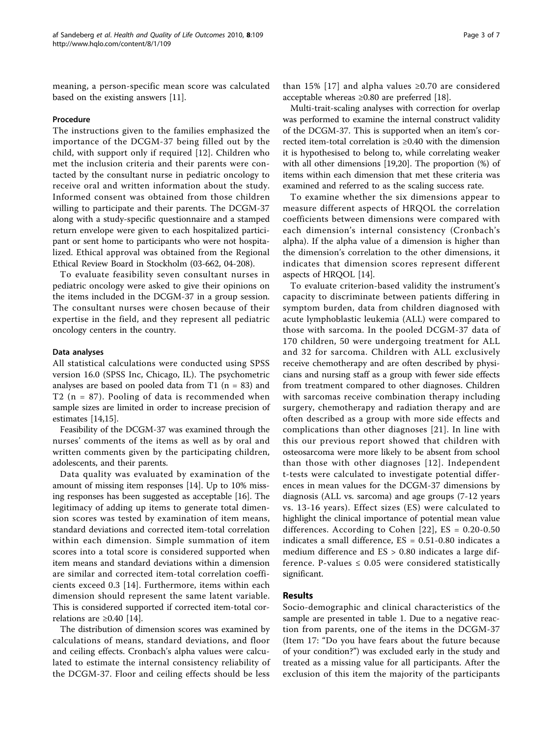meaning, a person-specific mean score was calculated based on the existing answers [[11](#page-6-0)].

#### Procedure

The instructions given to the families emphasized the importance of the DCGM-37 being filled out by the child, with support only if required [[12\]](#page-6-0). Children who met the inclusion criteria and their parents were contacted by the consultant nurse in pediatric oncology to receive oral and written information about the study. Informed consent was obtained from those children willing to participate and their parents. The DCGM-37 along with a study-specific questionnaire and a stamped return envelope were given to each hospitalized participant or sent home to participants who were not hospitalized. Ethical approval was obtained from the Regional Ethical Review Board in Stockholm (03-662, 04-208).

To evaluate feasibility seven consultant nurses in pediatric oncology were asked to give their opinions on the items included in the DCGM-37 in a group session. The consultant nurses were chosen because of their expertise in the field, and they represent all pediatric oncology centers in the country.

#### Data analyses

All statistical calculations were conducted using SPSS version 16.0 (SPSS Inc, Chicago, IL). The psychometric analyses are based on pooled data from T1 ( $n = 83$ ) and T2 (n = 87). Pooling of data is recommended when sample sizes are limited in order to increase precision of estimates [[14](#page-6-0),[15](#page-6-0)].

Feasibility of the DCGM-37 was examined through the nurses' comments of the items as well as by oral and written comments given by the participating children, adolescents, and their parents.

Data quality was evaluated by examination of the amount of missing item responses [[14](#page-6-0)]. Up to 10% missing responses has been suggested as acceptable [\[16\]](#page-6-0). The legitimacy of adding up items to generate total dimension scores was tested by examination of item means, standard deviations and corrected item-total correlation within each dimension. Simple summation of item scores into a total score is considered supported when item means and standard deviations within a dimension are similar and corrected item-total correlation coefficients exceed 0.3 [[14](#page-6-0)]. Furthermore, items within each dimension should represent the same latent variable. This is considered supported if corrected item-total correlations are  $\geq 0.40$  [\[14\]](#page-6-0).

The distribution of dimension scores was examined by calculations of means, standard deviations, and floor and ceiling effects. Cronbach's alpha values were calculated to estimate the internal consistency reliability of the DCGM-37. Floor and ceiling effects should be less

than 15% [[17\]](#page-6-0) and alpha values  $\geq 0.70$  are considered acceptable whereas ≥0.80 are preferred [[18\]](#page-6-0).

Multi-trait-scaling analyses with correction for overlap was performed to examine the internal construct validity of the DCGM-37. This is supported when an item's corrected item-total correlation is ≥0.40 with the dimension it is hypothesised to belong to, while correlating weaker with all other dimensions [[19](#page-6-0),[20](#page-6-0)]. The proportion (%) of items within each dimension that met these criteria was examined and referred to as the scaling success rate.

To examine whether the six dimensions appear to measure different aspects of HRQOL the correlation coefficients between dimensions were compared with each dimension's internal consistency (Cronbach's alpha). If the alpha value of a dimension is higher than the dimension's correlation to the other dimensions, it indicates that dimension scores represent different aspects of HRQOL [[14\]](#page-6-0).

To evaluate criterion-based validity the instrument's capacity to discriminate between patients differing in symptom burden, data from children diagnosed with acute lymphoblastic leukemia (ALL) were compared to those with sarcoma. In the pooled DCGM-37 data of 170 children, 50 were undergoing treatment for ALL and 32 for sarcoma. Children with ALL exclusively receive chemotherapy and are often described by physicians and nursing staff as a group with fewer side effects from treatment compared to other diagnoses. Children with sarcomas receive combination therapy including surgery, chemotherapy and radiation therapy and are often described as a group with more side effects and complications than other diagnoses [\[21\]](#page-6-0). In line with this our previous report showed that children with osteosarcoma were more likely to be absent from school than those with other diagnoses [[12\]](#page-6-0). Independent t-tests were calculated to investigate potential differences in mean values for the DCGM-37 dimensions by diagnosis (ALL vs. sarcoma) and age groups (7-12 years vs. 13-16 years). Effect sizes (ES) were calculated to highlight the clinical importance of potential mean value differences. According to Cohen  $[22]$  $[22]$  $[22]$ , ES = 0.20-0.50 indicates a small difference, ES = 0.51-0.80 indicates a medium difference and ES > 0.80 indicates a large difference. P-values  $\leq 0.05$  were considered statistically significant.

#### Results

Socio-demographic and clinical characteristics of the sample are presented in table [1.](#page-3-0) Due to a negative reaction from parents, one of the items in the DCGM-37 (Item 17: "Do you have fears about the future because of your condition?") was excluded early in the study and treated as a missing value for all participants. After the exclusion of this item the majority of the participants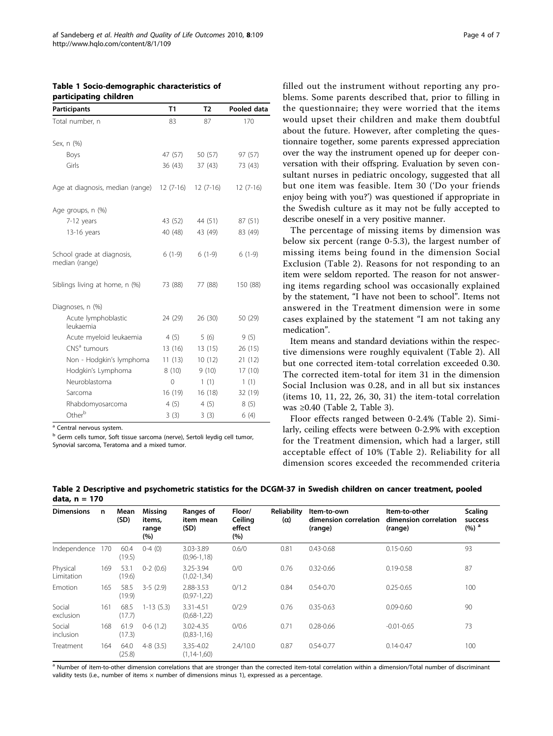<span id="page-3-0"></span>Table 1 Socio-demographic characteristics of participating children

| Participants                                 | T1         | T <sub>2</sub> | Pooled data |
|----------------------------------------------|------------|----------------|-------------|
| Total number, n                              | 83         | 87             | 170         |
| Sex, n (%)                                   |            |                |             |
| Boys                                         | 47 (57)    | 50 (57)        | 97 (57)     |
| Girls                                        | 36(43)     | 37(43)         | 73 (43)     |
| Age at diagnosis, median (range)             | $12(7-16)$ | $12(7-16)$     | $12(7-16)$  |
| Age groups, n (%)                            |            |                |             |
| 7-12 years                                   | 43 (52)    | 44 (51)        | 87 (51)     |
| 13-16 years                                  | 40 (48)    | 43 (49)        | 83 (49)     |
| School grade at diagnosis,<br>median (range) | $6(1-9)$   | $6(1-9)$       | $6(1-9)$    |
| Siblings living at home, n (%)               | 73 (88)    | 77 (88)        | 150 (88)    |
| Diagnoses, n (%)                             |            |                |             |
| Acute lymphoblastic<br>leukaemia             | 24 (29)    | 26 (30)        | 50 (29)     |
| Acute myeloid leukaemia                      | 4(5)       | 5(6)           | 9(5)        |
| CNS <sup>a</sup> tumours                     | 13 (16)    | 13(15)         | 26 (15)     |
| Non - Hodgkin's lymphoma                     | 11(13)     | 10(12)         | 21 (12)     |
| Hodgkin's Lymphoma                           | 8(10)      | 9(10)          | 17(10)      |
| Neuroblastoma                                | 0          | 1(1)           | 1(1)        |
| Sarcoma                                      | 16 (19)    | 16(18)         | 32 (19)     |
| Rhabdomyosarcoma                             | 4(5)       | 4(5)           | 8(5)        |
| Other <sup>b</sup>                           | 3(3)       | 3(3)           | 6(4)        |

 $a$  Central nervous system.

<sup>b</sup> Germ cells tumor, Soft tissue sarcoma (nerve), Sertoli leydig cell tumor, Synovial sarcoma, Teratoma and a mixed tumor.

filled out the instrument without reporting any problems. Some parents described that, prior to filling in the questionnaire; they were worried that the items would upset their children and make them doubtful about the future. However, after completing the questionnaire together, some parents expressed appreciation over the way the instrument opened up for deeper conversation with their offspring. Evaluation by seven consultant nurses in pediatric oncology, suggested that all but one item was feasible. Item 30 ('Do your friends enjoy being with you?') was questioned if appropriate in the Swedish culture as it may not be fully accepted to describe oneself in a very positive manner.

The percentage of missing items by dimension was below six percent (range 0-5.3), the largest number of missing items being found in the dimension Social Exclusion (Table 2). Reasons for not responding to an item were seldom reported. The reason for not answering items regarding school was occasionally explained by the statement, "I have not been to school". Items not answered in the Treatment dimension were in some cases explained by the statement "I am not taking any medication".

Item means and standard deviations within the respective dimensions were roughly equivalent (Table 2). All but one corrected item-total correlation exceeded 0.30. The corrected item-total for item 31 in the dimension Social Inclusion was 0.28, and in all but six instances (items 10, 11, 22, 26, 30, 31) the item-total correlation was ≥0.40 (Table 2, Table [3\)](#page-4-0).

Floor effects ranged between 0-2.4% (Table 2). Similarly, ceiling effects were between 0-2.9% with exception for the Treatment dimension, which had a larger, still acceptable effect of 10% (Table 2). Reliability for all dimension scores exceeded the recommended criteria

| <b>Dimensions</b>      | n   | Mean<br>(SD)   | Missing<br>items,<br>range<br>(%) | Ranges of<br>item mean<br>(SD) | Floor/<br>Ceiling<br>effect<br>(%) | <b>Reliability</b><br>$(\alpha)$ | Item-to-own<br>dimension correlation<br>(range) | Item-to-other<br>dimension correlation<br>(range) | Scaling<br>success<br>(%) <sup>a</sup> |
|------------------------|-----|----------------|-----------------------------------|--------------------------------|------------------------------------|----------------------------------|-------------------------------------------------|---------------------------------------------------|----------------------------------------|
| Independence           | 170 | 60.4<br>(19.5) | $0-4(0)$                          | 3.03-3.89<br>$(0.96 - 1.18)$   | 0.6/0                              | 0.81                             | $0.43 - 0.68$                                   | $0.15 - 0.60$                                     | 93                                     |
| Physical<br>Limitation | 169 | 53.1<br>(19.6) | $0-2(0.6)$                        | 3.25-3.94<br>$(1,02-1,34)$     | 0/0                                | 0.76                             | $0.32 - 0.66$                                   | $0.19 - 0.58$                                     | 87                                     |
| Emotion                | 165 | 58.5<br>(19.9) | $3-5(2.9)$                        | 2.88-3.53<br>$(0, 97 - 1, 22)$ | 0/1.2                              | 0.84                             | $0.54 - 0.70$                                   | $0.25 - 0.65$                                     | 100                                    |
| Social<br>exclusion    | 161 | 68.5<br>(17.7) | $1-13(5.3)$                       | 3.31-4.51<br>$(0,68-1,22)$     | 0/2.9                              | 0.76                             | $0.35 - 0.63$                                   | $0.09 - 0.60$                                     | 90                                     |
| Social<br>inclusion    | 168 | 61.9<br>(17.3) | $0-6(1.2)$                        | 3.02-4.35<br>$(0,83-1,16)$     | 0/0.6                              | 0.71                             | $0.28 - 0.66$                                   | $-0.01 - 0.65$                                    | 73                                     |
| Treatment              | 164 | 64.0<br>(25.8) | $4-8(3.5)$                        | 3,35-4.02<br>$(1, 14 - 1, 60)$ | 2.4/10.0                           | 0.87                             | $0.54 - 0.77$                                   | $0.14 - 0.47$                                     | 100                                    |

Table 2 Descriptive and psychometric statistics for the DCGM-37 in Swedish children on cancer treatment, pooled data, n = 170

a Number of item-to-other dimension correlations that are stronger than the corrected item-total correlation within a dimension/Total number of discriminant validity tests (i.e., number of items  $\times$  number of dimensions minus 1), expressed as a percentage.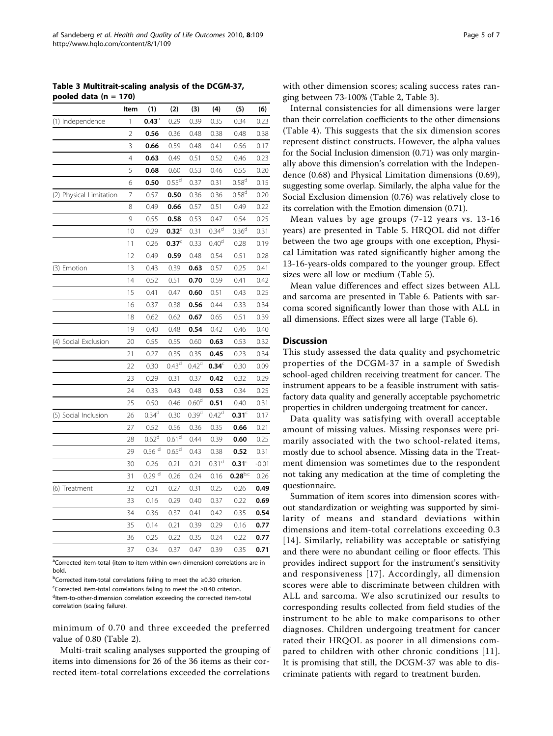<span id="page-4-0"></span>Table 3 Multitrait-scaling analysis of the DCGM-37, pooled data (n = 170)

|                         | Item           | (1)                 | (2)               | (3)               | (4)               | (5)               | (6)     |
|-------------------------|----------------|---------------------|-------------------|-------------------|-------------------|-------------------|---------|
| (1) Independence        | 1              | $0.43^{\circ}$      | 0.29              | 0.39              | 0.35              | 0.34              | 0.23    |
|                         | $\overline{2}$ | 0.56                | 0.36              | 0.48              | 0.38              | 0.48              | 0.38    |
|                         | 3              | 0.66                | 0.59              | 0.48              | 0.41              | 0.56              | 0.17    |
|                         | $\overline{4}$ | 0.63                | 0.49              | 0.51              | 0.52              | 0.46              | 0.23    |
|                         | 5              | 0.68                | 0.60              | 0.53              | 0.46              | 0.55              | 0.20    |
|                         | 6              | 0.50                | 0.55 <sup>d</sup> | 0.37              | 0.31              | 0.58 <sup>d</sup> | 0.15    |
| (2) Physical Limitation | 7              | 0.57                | 0.50              | 0.36              | 0.36              | 0.58 <sup>d</sup> | 0.20    |
|                         | 8              | 0.49                | 0.66              | 0.57              | 0.51              | 0.49              | 0.22    |
|                         | 9              | 0.55                | 0.58              | 0.53              | 0.47              | 0.54              | 0.25    |
|                         | 10             | 0.29                | $0.32^\circ$      | 0.31              | 0.34 <sup>d</sup> | 0.36 <sup>d</sup> | 0.31    |
|                         | 11             | 0.26                | 0.37 <sup>c</sup> | 0.33              | 0.40 <sup>d</sup> | 0.28              | 0.19    |
|                         | 12             | 0.49                | 0.59              | 0.48              | 0.54              | 0.51              | 0.28    |
| (3) Emotion             | 13             | 0.43                | 0.39              | 0.63              | 0.57              | 0.25              | 0.41    |
|                         | 14             | 0.52                | 0.51              | 0.70              | 0.59              | 0.41              | 0.42    |
|                         | 15             | 0.41                | 0.47              | 0.60              | 0.51              | 0.43              | 0.25    |
|                         | 16             | 0.37                | 0.38              | 0.56              | 0.44              | 0.33              | 0.34    |
|                         | 18             | 0.62                | 0.62              | 0.67              | 0.65              | 0.51              | 0.39    |
|                         | 19             | 0.40                | 0.48              | 0.54              | 0.42              | 0.46              | 0.40    |
| (4) Social Exclusion    | 20             | 0.55                | 0.55              | 0.60              | 0.63              | 0.53              | 0.32    |
|                         | 21             | 0.27                | 0.35              | 0.35              | 0.45              | 0.23              | 0.34    |
|                         | 22             | 0.30                | $0.43^d$          | $0.42^d$          | $0.34^\circ$      | 0.30              | 0.09    |
|                         | 23             | 0.29                | 0.31              | 0.37              | 0.42              | 0.32              | 0.29    |
|                         | 24             | 0.33                | 0.43              | 0.48              | 0.53              | 0.34              | 0.25    |
|                         | 25             | 0.50                | 0.46              | 0.60 <sup>d</sup> | 0.51              | 0.40              | 0.31    |
| (5) Social Inclusion    | 26             | 0.34 <sup>d</sup>   | 0.30              | 0.39 <sup>d</sup> | $0.42^d$          | 0.31 <sup>c</sup> | 0.17    |
|                         | 27             | 0.52                | 0.56              | 0.36              | 0.35              | 0.66              | 0.21    |
|                         | 28             | 0.62 <sup>d</sup>   | 0.61 <sup>d</sup> | 0.44              | 0.39              | 0.60              | 0.25    |
|                         | 29             | $0.56$ <sup>d</sup> | 0.65 <sup>d</sup> | 0.43              | 0.38              | 0.52              | 0.31    |
|                         | 30             | 0.26                | 0.21              | 0.21              | 0.31 <sup>d</sup> | $0.31^\circ$      | $-0.01$ |
|                         | 31             | $0.29$ <sup>d</sup> | 0.26              | 0.24              | 0.16              | $0.28^{\rm b,c}$  | 0.26    |
| (6) Treatment           | 32             | 0.21                | 0.27              | 0.31              | 0.25              | 0.26              | 0.49    |
|                         | 33             | 0.16                | 0.29              | 0.40              | 0.37              | 0.22              | 0.69    |
|                         | 34             | 0.36                | 0.37              | 0.41              | 0.42              | 0.35              | 0.54    |
|                         | 35             | 0.14                | 0.21              | 0.39              | 0.29              | 0.16              | 0.77    |
|                         | 36             | 0.25                | 0.22              | 0.35              | 0.24              | 0.22              | 0.77    |
|                         | 37             | 0.34                | 0.37              | 0.47              | 0.39              | 0.35              | 0.71    |

<sup>a</sup>Corrected item-total (item-to-item-within-own-dimension) correlations are in bold.

<sup>b</sup>Corrected item-total correlations failing to meet the ≥0.30 criterion. <sup>c</sup>Corrected item-total correlations failing to meet the ≥0.40 criterion. <sup>d</sup>Item-to-other-dimension correlation exceeding the corrected item-total correlation (scaling failure).

minimum of 0.70 and three exceeded the preferred value of 0.80 (Table [2](#page-3-0)).

Multi-trait scaling analyses supported the grouping of items into dimensions for 26 of the 36 items as their corrected item-total correlations exceeded the correlations

Internal consistencies for all dimensions were larger than their correlation coefficients to the other dimensions (Table [4\)](#page-5-0). This suggests that the six dimension scores represent distinct constructs. However, the alpha values for the Social Inclusion dimension (0.71) was only marginally above this dimension's correlation with the Independence (0.68) and Physical Limitation dimensions (0.69), suggesting some overlap. Similarly, the alpha value for the Social Exclusion dimension (0.76) was relatively close to its correlation with the Emotion dimension (0.71).

Mean values by age groups (7-12 years vs. 13-16 years) are presented in Table [5.](#page-5-0) HRQOL did not differ between the two age groups with one exception, Physical Limitation was rated significantly higher among the 13-16-years-olds compared to the younger group. Effect sizes were all low or medium (Table [5\)](#page-5-0).

Mean value differences and effect sizes between ALL and sarcoma are presented in Table [6](#page-5-0). Patients with sarcoma scored significantly lower than those with ALL in all dimensions. Effect sizes were all large (Table [6](#page-5-0)).

## **Discussion**

This study assessed the data quality and psychometric properties of the DCGM-37 in a sample of Swedish school-aged children receiving treatment for cancer. The instrument appears to be a feasible instrument with satisfactory data quality and generally acceptable psychometric properties in children undergoing treatment for cancer.

Data quality was satisfying with overall acceptable amount of missing values. Missing responses were primarily associated with the two school-related items, mostly due to school absence. Missing data in the Treatment dimension was sometimes due to the respondent not taking any medication at the time of completing the questionnaire.

Summation of item scores into dimension scores without standardization or weighting was supported by similarity of means and standard deviations within dimensions and item-total correlations exceeding 0.3 [[14\]](#page-6-0). Similarly, reliability was acceptable or satisfying and there were no abundant ceiling or floor effects. This provides indirect support for the instrument's sensitivity and responsiveness [[17](#page-6-0)]. Accordingly, all dimension scores were able to discriminate between children with ALL and sarcoma. We also scrutinized our results to corresponding results collected from field studies of the instrument to be able to make comparisons to other diagnoses. Children undergoing treatment for cancer rated their HRQOL as poorer in all dimensions compared to children with other chronic conditions [[11](#page-6-0)]. It is promising that still, the DCGM-37 was able to discriminate patients with regard to treatment burden.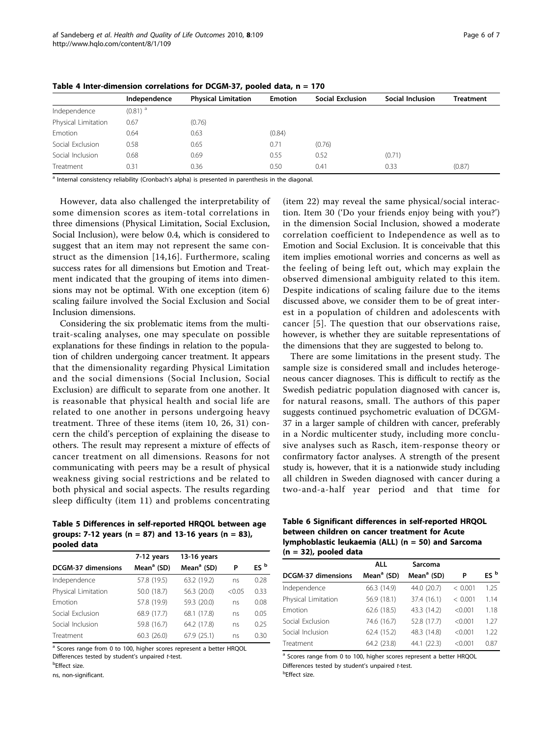|                     | Independence          | <b>Physical Limitation</b> | <b>Emotion</b> | <b>Social Exclusion</b> | Social Inclusion | <b>Treatment</b> |
|---------------------|-----------------------|----------------------------|----------------|-------------------------|------------------|------------------|
| Independence        | $(0.81)$ <sup>a</sup> |                            |                |                         |                  |                  |
| Physical Limitation | 0.67                  | (0.76)                     |                |                         |                  |                  |
| Emotion             | 0.64                  | 0.63                       | (0.84)         |                         |                  |                  |
| Social Exclusion    | 0.58                  | 0.65                       | 0.71           | (0.76)                  |                  |                  |
| Social Inclusion    | 0.68                  | 0.69                       | 0.55           | 0.52                    | (0.71)           |                  |
| Treatment           | 0.31                  | 0.36                       | 0.50           | 0.41                    | 0.33             | (0.87)           |

<span id="page-5-0"></span>Table 4 Inter-dimension correlations for DCGM-37, pooled data, n = 170

<sup>a</sup> Internal consistency reliability (Cronbach's alpha) is presented in parenthesis in the diagonal.

However, data also challenged the interpretability of some dimension scores as item-total correlations in three dimensions (Physical Limitation, Social Exclusion, Social Inclusion), were below 0.4, which is considered to suggest that an item may not represent the same construct as the dimension [\[14,16](#page-6-0)]. Furthermore, scaling success rates for all dimensions but Emotion and Treatment indicated that the grouping of items into dimensions may not be optimal. With one exception (item 6) scaling failure involved the Social Exclusion and Social Inclusion dimensions.

Considering the six problematic items from the multitrait-scaling analyses, one may speculate on possible explanations for these findings in relation to the population of children undergoing cancer treatment. It appears that the dimensionality regarding Physical Limitation and the social dimensions (Social Inclusion, Social Exclusion) are difficult to separate from one another. It is reasonable that physical health and social life are related to one another in persons undergoing heavy treatment. Three of these items (item 10, 26, 31) concern the child's perception of explaining the disease to others. The result may represent a mixture of effects of cancer treatment on all dimensions. Reasons for not communicating with peers may be a result of physical weakness giving social restrictions and be related to both physical and social aspects. The results regarding sleep difficulty (item 11) and problems concentrating

Table 5 Differences in self-reported HRQOL between age groups: 7-12 years (n = 87) and 13-16 years (n = 83), pooled data

|                           | 7-12 years             | 13-16 years   |        |                 |
|---------------------------|------------------------|---------------|--------|-----------------|
| <b>DCGM-37 dimensions</b> | Mean <sup>a</sup> (SD) | Mean $a$ (SD) | Ρ      | ES <sup>b</sup> |
| Independence              | 57.8 (19.5)            | 63.2 (19.2)   | ns     | 0.28            |
| Physical Limitation       | 50.0 (18.7)            | 56.3 (20.0)   | < 0.05 | 0.33            |
| Emotion                   | 57.8 (19.9)            | 59.3 (20.0)   | ns     | 0.08            |
| Social Exclusion          | 68.9 (17.7)            | 68.1 (17.8)   | ns     | 0.05            |
| Social Inclusion          | 59.8 (16.7)            | 64.2 (17.8)   | ns     | 0.25            |
| Treatment                 | 60.3(26.0)             | 67.9 (25.1)   | ns     | 0.30            |
|                           |                        |               |        |                 |

<sup>a</sup> Scores range from 0 to 100, higher scores represent a better HRQOL Differences tested by student's unpaired t-test.

<sup>b</sup>Effect size.

ns, non-significant.

(item 22) may reveal the same physical/social interaction. Item 30 ('Do your friends enjoy being with you?') in the dimension Social Inclusion, showed a moderate correlation coefficient to Independence as well as to Emotion and Social Exclusion. It is conceivable that this item implies emotional worries and concerns as well as the feeling of being left out, which may explain the observed dimensional ambiguity related to this item. Despite indications of scaling failure due to the items discussed above, we consider them to be of great interest in a population of children and adolescents with cancer [[5\]](#page-6-0). The question that our observations raise, however, is whether they are suitable representations of the dimensions that they are suggested to belong to.

There are some limitations in the present study. The sample size is considered small and includes heterogeneous cancer diagnoses. This is difficult to rectify as the Swedish pediatric population diagnosed with cancer is, for natural reasons, small. The authors of this paper suggests continued psychometric evaluation of DCGM-37 in a larger sample of children with cancer, preferably in a Nordic multicenter study, including more conclusive analyses such as Rasch, item-response theory or confirmatory factor analyses. A strength of the present study is, however, that it is a nationwide study including all children in Sweden diagnosed with cancer during a two-and-a-half year period and that time for

| Table 6 Significant differences in self-reported HRQOL |
|--------------------------------------------------------|
| between children on cancer treatment for Acute         |
| lymphoblastic leukaemia (ALL) ( $n = 50$ ) and Sarcoma |
| $(n = 32)$ , pooled data                               |

| $-11.0$                |                        |         |                 |
|------------------------|------------------------|---------|-----------------|
| ALL                    | Sarcoma                |         |                 |
| Mean <sup>a</sup> (SD) | Mean <sup>a</sup> (SD) | P       | ES <sup>b</sup> |
| 66.3 (14.9)            | 44.0 (20.7)            | < 0.001 | 1.25            |
| 56.9 (18.1)            | 37.4 (16.1)            | < 0.001 | 1.14            |
| 62.6 (18.5)            | 43.3 (14.2)            | < 0.001 | 1.18            |
| 74.6 (16.7)            | 52.8 (17.7)            | < 0.001 | 1.27            |
| 62.4 (15.2)            | 48.3 (14.8)            | < 0.001 | 1.22            |
| 64.2 (23.8)            | 44.1 (22.3)            | < 0.001 | 0.87            |
|                        |                        |         |                 |

<sup>a</sup> Scores range from 0 to 100, higher scores represent a better HRQOL Differences tested by student's unpaired t-test. b Effect size.